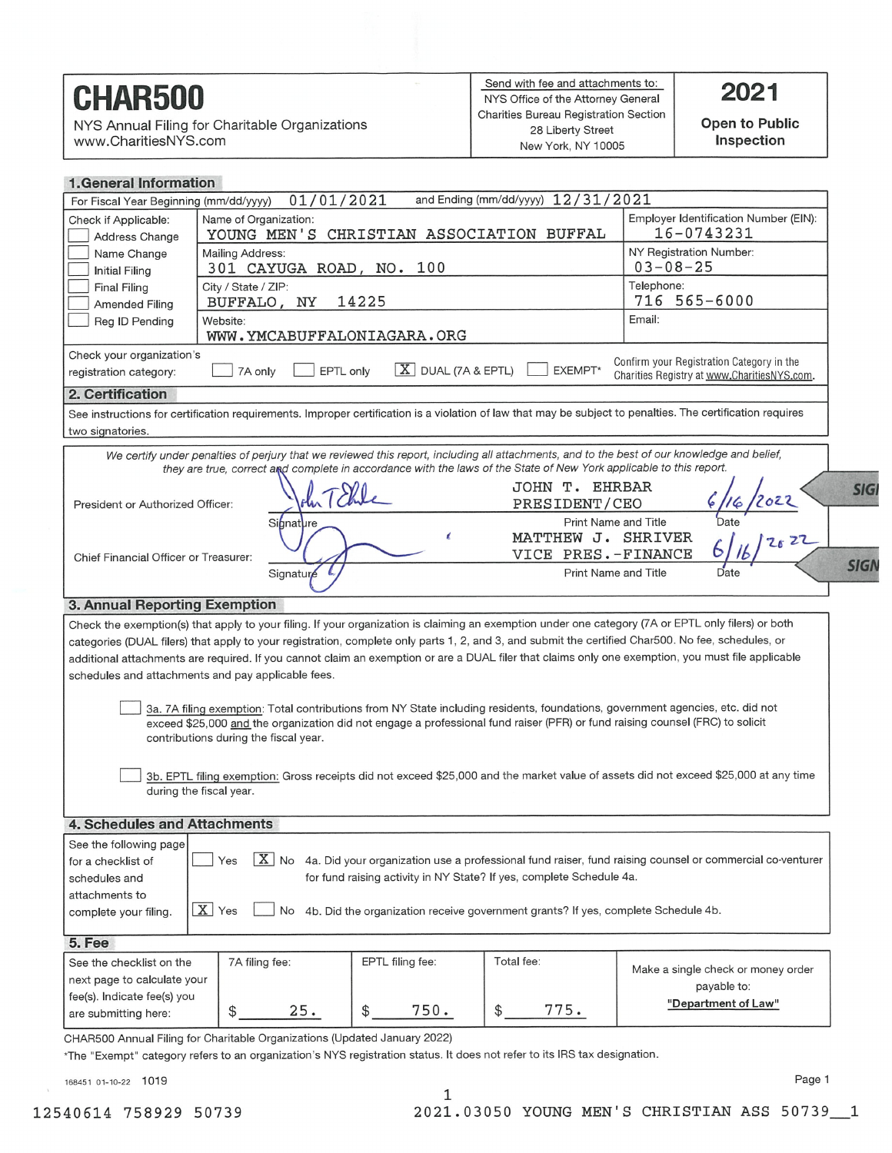# **CHAR500**

NYS Annual Filing for Charitable Organizations www.CharitiesNYS.com

Open to Public Inspection

# 1 Ceneral Information

| 1. GC1101 41 11101 111 11101 1                                                                                                                                                                             |                                                     |                         |                                                   |                                                                                                                                                     |  |  |  |
|------------------------------------------------------------------------------------------------------------------------------------------------------------------------------------------------------------|-----------------------------------------------------|-------------------------|---------------------------------------------------|-----------------------------------------------------------------------------------------------------------------------------------------------------|--|--|--|
| and Ending (mm/dd/yyyy) 12/31/2021<br>01/01/2021<br>For Fiscal Year Beginning (mm/dd/yyyy)<br>Employer Identification Number (EIN):<br>Name of Organization:<br>Check if Applicable:                       |                                                     |                         |                                                   |                                                                                                                                                     |  |  |  |
| Address Change                                                                                                                                                                                             | YOUNG MEN'S CHRISTIAN ASSOCIATION BUFFAL            |                         | 16-0743231                                        |                                                                                                                                                     |  |  |  |
| Name Change                                                                                                                                                                                                | <b>Mailing Address:</b><br>301 CAYUGA ROAD, NO. 100 |                         | NY Registration Number:<br>$03 - 08 - 25$         |                                                                                                                                                     |  |  |  |
| <b>Initial Filing</b><br><b>Final Filing</b>                                                                                                                                                               | City / State / ZIP:                                 |                         |                                                   | Telephone:                                                                                                                                          |  |  |  |
| Amended Filing                                                                                                                                                                                             | 14225<br>BUFFALO, NY                                |                         | 716 565-6000                                      |                                                                                                                                                     |  |  |  |
| Reg ID Pending                                                                                                                                                                                             | Website:                                            |                         |                                                   | Email:                                                                                                                                              |  |  |  |
|                                                                                                                                                                                                            | WWW.YMCABUFFALONIAGARA.ORG                          |                         |                                                   |                                                                                                                                                     |  |  |  |
| Check your organization's<br>Confirm your Registration Category in the<br>$X$ DUAL (7A & EPTL)<br>EXEMPT*<br>7A only<br>EPTL only<br>registration category:<br>Charities Registry at www.CharitiesNYS.com. |                                                     |                         |                                                   |                                                                                                                                                     |  |  |  |
| 2. Certification                                                                                                                                                                                           |                                                     |                         |                                                   |                                                                                                                                                     |  |  |  |
| See instructions for certification requirements. Improper certification is a violation of law that may be subject to penalties. The certification requires<br>two signatories.                             |                                                     |                         |                                                   |                                                                                                                                                     |  |  |  |
| We certify under penalties of perjury that we reviewed this report, including all attachments, and to the best of our knowledge and belief,                                                                |                                                     |                         |                                                   |                                                                                                                                                     |  |  |  |
| they are true, correct and complete in accordance with the laws of the State of New York applicable to this report.                                                                                        |                                                     |                         |                                                   |                                                                                                                                                     |  |  |  |
| <b>JOHN T. EHRBAR</b><br><b>SIG</b><br>PRESIDENT/CEO<br>President or Authorized Officer:                                                                                                                   |                                                     |                         |                                                   |                                                                                                                                                     |  |  |  |
| $6/2022$<br>$\frac{1}{11}$<br>$\frac{1}{26}$ $\frac{22}{11}$<br>Print Name and Title<br>Signature                                                                                                          |                                                     |                         |                                                   |                                                                                                                                                     |  |  |  |
|                                                                                                                                                                                                            |                                                     | ı                       | MATTHEW J. SHRIVER                                |                                                                                                                                                     |  |  |  |
| Chief Financial Officer or Treasurer:                                                                                                                                                                      | Signature                                           |                         | VICE PRES.-FINANCE<br><b>Print Name and Title</b> | <b>SIGN</b><br>Date                                                                                                                                 |  |  |  |
|                                                                                                                                                                                                            |                                                     |                         |                                                   |                                                                                                                                                     |  |  |  |
| 3. Annual Reporting Exemption                                                                                                                                                                              |                                                     |                         |                                                   |                                                                                                                                                     |  |  |  |
|                                                                                                                                                                                                            |                                                     |                         |                                                   | Check the exemption(s) that apply to your filing. If your organization is claiming an exemption under one category (7A or EPTL only filers) or both |  |  |  |
| categories (DUAL filers) that apply to your registration, complete only parts 1, 2, and 3, and submit the certified Char500. No fee, schedules, or                                                         |                                                     |                         |                                                   |                                                                                                                                                     |  |  |  |
| additional attachments are required. If you cannot claim an exemption or are a DUAL filer that claims only one exemption, you must file applicable<br>schedules and attachments and pay applicable fees.   |                                                     |                         |                                                   |                                                                                                                                                     |  |  |  |
|                                                                                                                                                                                                            |                                                     |                         |                                                   |                                                                                                                                                     |  |  |  |
| 3a. 7A filing exemption: Total contributions from NY State including residents, foundations, government agencies, etc. did not                                                                             |                                                     |                         |                                                   |                                                                                                                                                     |  |  |  |
| exceed \$25,000 and the organization did not engage a professional fund raiser (PFR) or fund raising counsel (FRC) to solicit<br>contributions during the fiscal year.                                     |                                                     |                         |                                                   |                                                                                                                                                     |  |  |  |
|                                                                                                                                                                                                            |                                                     |                         |                                                   |                                                                                                                                                     |  |  |  |
|                                                                                                                                                                                                            |                                                     |                         |                                                   | 3b. EPTL filing exemption: Gross receipts did not exceed \$25,000 and the market value of assets did not exceed \$25,000 at any time                |  |  |  |
| during the fiscal year.                                                                                                                                                                                    |                                                     |                         |                                                   |                                                                                                                                                     |  |  |  |
| <b>4. Schedules and Attachments</b>                                                                                                                                                                        |                                                     |                         |                                                   |                                                                                                                                                     |  |  |  |
| See the following page                                                                                                                                                                                     |                                                     |                         |                                                   |                                                                                                                                                     |  |  |  |
| $\boxed{\text{X}}$ No 4a. Did your organization use a professional fund raiser, fund raising counsel or commercial co-venturer<br>for a checklist of<br>Yes                                                |                                                     |                         |                                                   |                                                                                                                                                     |  |  |  |
| for fund raising activity in NY State? If yes, complete Schedule 4a.<br>schedules and                                                                                                                      |                                                     |                         |                                                   |                                                                                                                                                     |  |  |  |
| attachments to                                                                                                                                                                                             |                                                     |                         |                                                   |                                                                                                                                                     |  |  |  |
| $X$ Yes<br>4b. Did the organization receive government grants? If yes, complete Schedule 4b.<br>No<br>complete your filing.                                                                                |                                                     |                         |                                                   |                                                                                                                                                     |  |  |  |
| 5. Fee                                                                                                                                                                                                     |                                                     |                         |                                                   |                                                                                                                                                     |  |  |  |
| See the checklist on the                                                                                                                                                                                   | 7A filing fee:                                      | EPTL filing fee:        | Total fee:                                        | Make a single check or money order                                                                                                                  |  |  |  |
| next page to calculate your                                                                                                                                                                                |                                                     |                         |                                                   | payable to:                                                                                                                                         |  |  |  |
| fee(s). Indicate fee(s) you                                                                                                                                                                                | 25.<br>\$                                           | 750.<br>$$\mathbb{S}^-$ | 775.<br>\$                                        | "Department of Law"                                                                                                                                 |  |  |  |
| are submitting here:                                                                                                                                                                                       |                                                     |                         |                                                   |                                                                                                                                                     |  |  |  |

CHAR500 Annual Filing for Charitable Organizations (Updated January 2022)

\*The "Exempt" category refers to an organization's NYS registration status. It does not refer to its IRS tax designation.

1

168451 01-10-22 1019

Page 1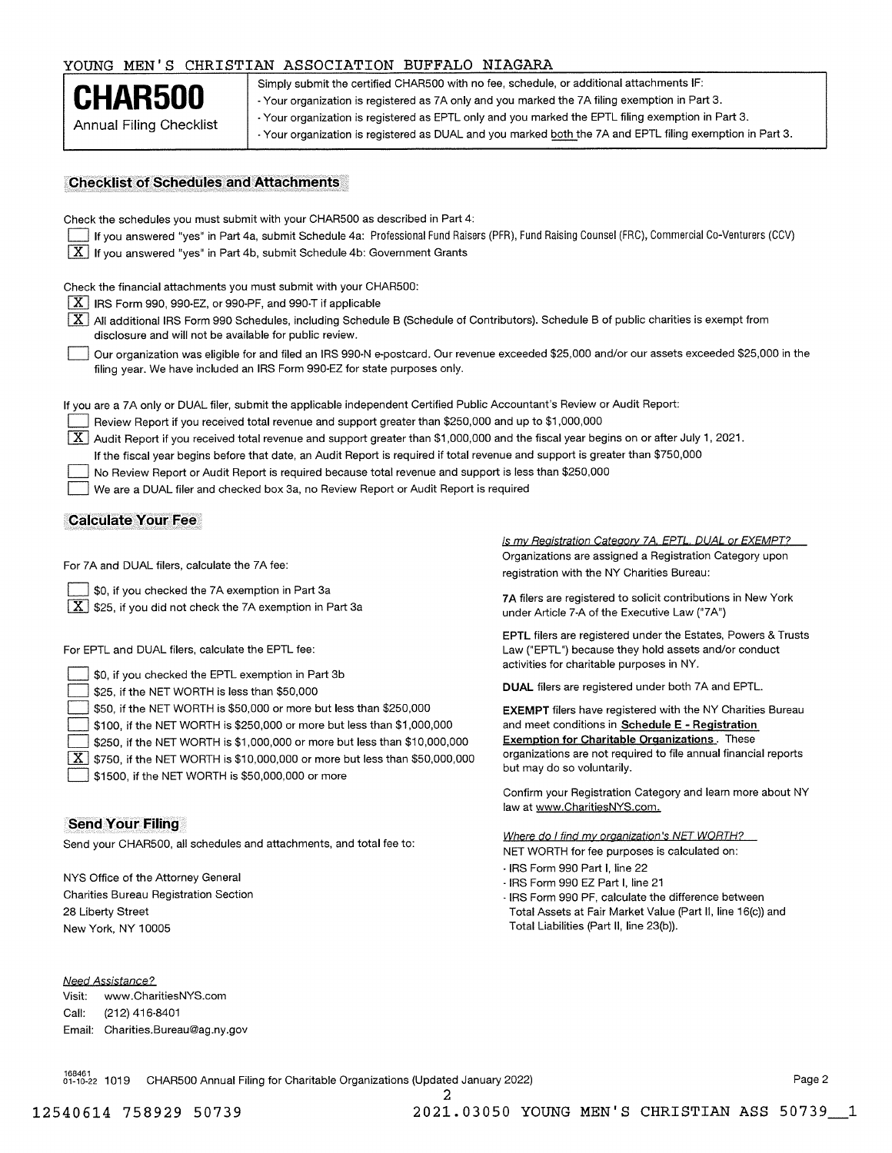### YOUNG MEN'S CHRISTIAN ASSOCIATION BUFFALO NIAGARA

CHAR500 Simply submit the certified CHAR500 with no fee, schedule, or additional attachments IF:<br>- Your organization is registered as 7A only and you marked the 7A filing exemption in Part 3. Annual Filing Checklist  $\cdot$  Your organization is registered as EPTL only and you marked the EPTL filing exemption in Part 3. - Your organization is registered as DUAL and you marked both the 7A and EPTL filing exemption in Part 3.

## Checklist of Schedules and Attachments

| Check the schedules you must submit with your CHAR500 as described in Part 4:<br>If you answered "yes" in Part 4a, submit Schedule 4a: Professional Fund Raisers (PFR), Fund Raising Counsel (FRC), Commercial Co-Venturers (CCV)<br>$\mid X \mid$ If you answered "yes" in Part 4b, submit Schedule 4b: Government Grants                                                                                                                                                                                                                                                                                                                                                                                                       |                                                                                                                                                                                                                                                                                         |  |  |  |  |  |
|----------------------------------------------------------------------------------------------------------------------------------------------------------------------------------------------------------------------------------------------------------------------------------------------------------------------------------------------------------------------------------------------------------------------------------------------------------------------------------------------------------------------------------------------------------------------------------------------------------------------------------------------------------------------------------------------------------------------------------|-----------------------------------------------------------------------------------------------------------------------------------------------------------------------------------------------------------------------------------------------------------------------------------------|--|--|--|--|--|
| Check the financial attachments you must submit with your CHAR500:<br>$X$ IRS Form 990, 990-EZ, or 990-PF, and 990-T if applicable<br>$X$ All additional IRS Form 990 Schedules, including Schedule B (Schedule of Contributors). Schedule B of public charities is exempt from<br>disclosure and will not be available for public review.<br>Our organization was eligible for and filed an IRS 990-N e-postcard. Our revenue exceeded \$25,000 and/or our assets exceeded \$25,000 in the<br>filing year. We have included an IRS Form 990-EZ for state purposes only.                                                                                                                                                         |                                                                                                                                                                                                                                                                                         |  |  |  |  |  |
| If you are a 7A only or DUAL filer, submit the applicable independent Certified Public Accountant's Review or Audit Report:<br>Review Report if you received total revenue and support greater than \$250,000 and up to \$1,000,000<br>$\vert$ X $\vert$ Audit Report if you received total revenue and support greater than \$1,000,000 and the fiscal year begins on or after July 1, 2021.<br>If the fiscal year begins before that date, an Audit Report is required if total revenue and support is greater than \$750,000<br>No Review Report or Audit Report is required because total revenue and support is less than \$250,000<br>We are a DUAL filer and checked box 3a, no Review Report or Audit Report is required |                                                                                                                                                                                                                                                                                         |  |  |  |  |  |
| <b>Calculate Your Fee</b>                                                                                                                                                                                                                                                                                                                                                                                                                                                                                                                                                                                                                                                                                                        |                                                                                                                                                                                                                                                                                         |  |  |  |  |  |
| For 7A and DUAL filers, calculate the 7A fee:<br>\$0, if you checked the 7A exemption in Part 3a<br>$\boxed{\text{X}}$ \$25, if you did not check the 7A exemption in Part 3a                                                                                                                                                                                                                                                                                                                                                                                                                                                                                                                                                    | Is my Registration Category 7A, EPTL, DUAL or EXEMPT?<br>Organizations are assigned a Registration Category upon<br>registration with the NY Charities Bureau:<br>7A filers are registered to solicit contributions in New York                                                         |  |  |  |  |  |
| For EPTL and DUAL filers, calculate the EPTL fee:<br>\$0, if you checked the EPTL exemption in Part 3b                                                                                                                                                                                                                                                                                                                                                                                                                                                                                                                                                                                                                           | under Article 7-A of the Executive Law ("7A")<br><b>EPTL</b> filers are registered under the Estates, Powers & Trusts<br>Law ("EPTL") because they hold assets and/or conduct<br>activities for charitable purposes in NY.<br><b>DUAL</b> filers are registered under both 7A and EPTL. |  |  |  |  |  |
| \$25, if the NET WORTH is less than \$50,000<br>\$50, if the NET WORTH is \$50,000 or more but less than \$250,000<br>\$100, if the NET WORTH is \$250,000 or more but less than \$1,000,000<br>\$250, if the NET WORTH is \$1,000,000 or more but less than \$10,000,000<br>$ {\bf X} $<br>\$750, if the NET WORTH is \$10,000,000 or more but less than \$50,000,000<br>\$1500, if the NET WORTH is \$50,000,000 or more                                                                                                                                                                                                                                                                                                       | <b>EXEMPT</b> filers have registered with the NY Charities Bureau<br>and meet conditions in Schedule E - Registration<br><b>Exemption for Charitable Organizations.</b> These<br>organizations are not required to file annual financial reports<br>but may do so voluntarily.          |  |  |  |  |  |
|                                                                                                                                                                                                                                                                                                                                                                                                                                                                                                                                                                                                                                                                                                                                  | Confirm your Registration Category and learn more about NY<br>law at www.CharitiesNYS.com.                                                                                                                                                                                              |  |  |  |  |  |
| <b>Send Your Filing</b>                                                                                                                                                                                                                                                                                                                                                                                                                                                                                                                                                                                                                                                                                                          |                                                                                                                                                                                                                                                                                         |  |  |  |  |  |
| Send your CHAR500, all schedules and attachments, and total fee to:                                                                                                                                                                                                                                                                                                                                                                                                                                                                                                                                                                                                                                                              | Where do I find my organization's NET WORTH?<br>NET WORTH for fee purposes is calculated on:                                                                                                                                                                                            |  |  |  |  |  |
| NYS Office of the Attorney General<br><b>Charities Bureau Registration Section</b>                                                                                                                                                                                                                                                                                                                                                                                                                                                                                                                                                                                                                                               | - IRS Form 990 Part I, line 22<br>- IRS Form 990 EZ Part I, line 21<br>- IRS Form 990 PF, calculate the difference between                                                                                                                                                              |  |  |  |  |  |

2

Total Assets at Fair Market Value (Part II, line 16(c)) and Total Liabilities (Part II, line 23(b)).

Need Assistance? Visit: www.CharitiesNYS.com Call: (212) 416-8401 Email: Charities.Bureau@ag.ny.gov

28 Liberty Street New York, NY 10005

01-10-22 1019 CHAR500 Annual Filing for Charitable Organizations (Updated January 2022)